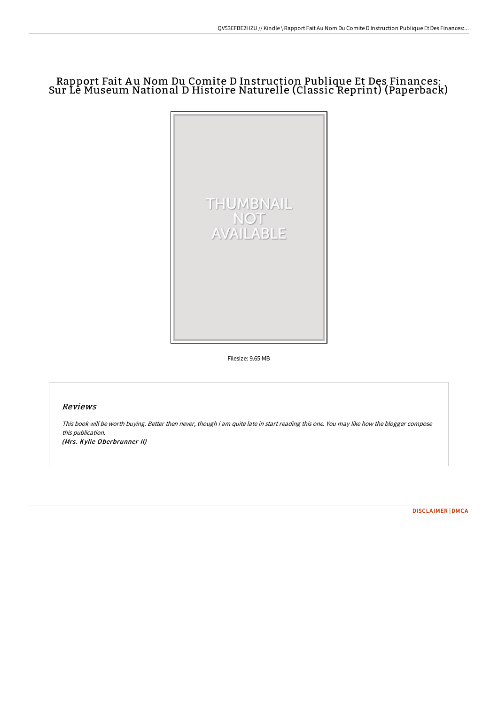# Rapport Fait A u Nom Du Comite D Instruction Publique Et Des Finances: Sur Le Museum National D Histoire Naturelle (Classic Reprint) (Paperback)



Filesize: 9.65 MB

## Reviews

This book will be worth buying. Better then never, though i am quite late in start reading this one. You may like how the blogger compose this publication. (Mrs. Kylie Oberbrunner II)

[DISCLAIMER](http://techno-pub.tech/disclaimer.html) | [DMCA](http://techno-pub.tech/dmca.html)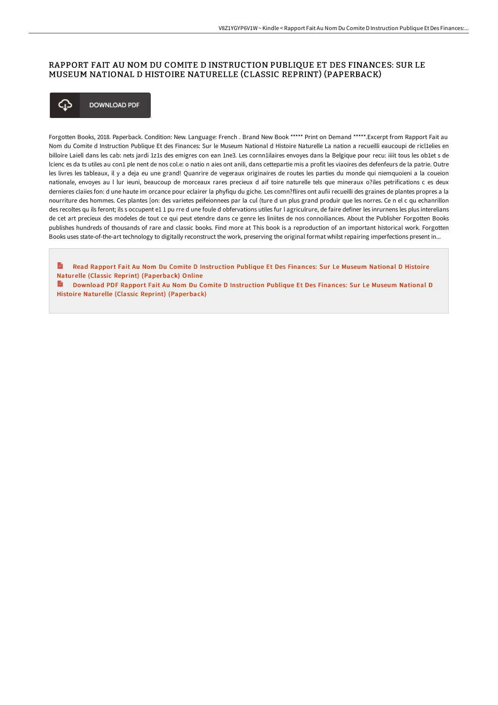## RAPPORT FAIT AU NOM DU COMITE D INSTRUCTION PUBLIQUE ET DES FINANCES: SUR LE MUSEUM NATIONAL D HISTOIRE NATURELLE (CLASSIC REPRINT) (PAPERBACK)



Forgotten Books, 2018. Paperback. Condition: New. Language: French . Brand New Book \*\*\*\*\* Print on Demand \*\*\*\*\*. Excerpt from Rapport Fait au Nom du Comite d Instruction Publique Et des Finances: Sur le Museum National d Histoire Naturelle La nation a recueilli eaucoupi de ricl1elies en billoire Laiell dans les cab: nets jardi 1z1s des emigres con ean 1ne3. Les cornn1ilaires envoyes dans la Belgique pour recu: iiiit tous les ob1et s de Icienc es da ts utiles au con1 ple nent de nos col.e: o natio n aies ont anili, dans cettepartie mis a profit les viaoires des defenfeurs de la patrie. Outre les livres les tableaux, il y a deja eu une grand! Quanrire de vegeraux originaires de routes les parties du monde qui niemquoieni a la coueion nationale, envoyes au l lur ieuni, beaucoup de morceaux rares precieux d aif toire naturelle tels que mineraux o?iles petrifications c es deux dernieres claiies fon: d une haute im orcance pour eclairer la phyfiqu du giche. Les comn?flires ont aufii recueilli des graines de plantes propres a la nourriture des hommes. Ces plantes [on: des varietes peifeionnees par la cul (ture d un plus grand produir que les norres. Ce n el c qu echanrillon des recoltes quils feront: ils s occupent e11 pu rre d une foule d obfervations utiles fur l agriculrure, de faire definer les inrurnens les plus interelians de cet art precieux des modeles de tout ce qui peut etendre dans ce genre les liniites de nos connoiliances. About the Publisher Forgotten Books publishes hundreds of thousands of rare and classic books. Find more at This book is a reproduction of an important historical work. Forgotten Books uses state-of-the-art technology to digitally reconstruct the work, preserving the original format whilst repairing imperfections present in...

 $\overrightarrow{u}$ Read Rapport Fait Au Nom Du Comite D Instruction Publique Et Des Finances: Sur Le Museum National D Histoire Naturelle (Classic Reprint) (Paperback) Online

**Download PDF Rapport Fait Au Nom Du Comite D Instruction Publique Et Des Finances: Sur Le Museum National D** Histoire Naturelle (Classic Reprint) (Paperback)